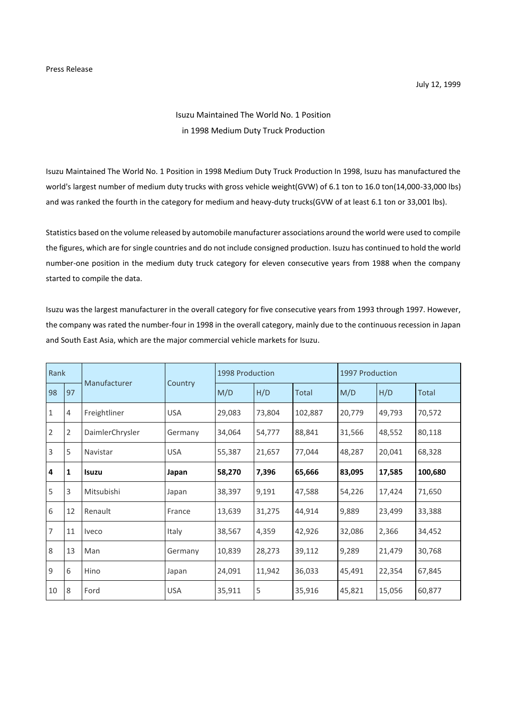## Isuzu Maintained The World No. 1 Position in 1998 Medium Duty Truck Production

Isuzu Maintained The World No. 1 Position in 1998 Medium Duty Truck Production In 1998, Isuzu has manufactured the world's largest number of medium duty trucks with gross vehicle weight(GVW) of 6.1 ton to 16.0 ton(14,000-33,000 lbs) and was ranked the fourth in the category for medium and heavy-duty trucks(GVW of at least 6.1 ton or 33,001 lbs).

Statistics based on the volume released by automobile manufacturer associations around the world were used to compile the figures, which are for single countries and do not include consigned production. Isuzu has continued to hold the world number-one position in the medium duty truck category for eleven consecutive years from 1988 when the company started to compile the data.

Isuzu was the largest manufacturer in the overall category for five consecutive years from 1993 through 1997. However, the company was rated the number-four in 1998 in the overall category, mainly due to the continuous recession in Japan and South East Asia, which are the major commercial vehicle markets for Isuzu.

| Rank           |    | Manufacturer    |            | 1998 Production |        |         | 1997 Production |        |         |
|----------------|----|-----------------|------------|-----------------|--------|---------|-----------------|--------|---------|
| 98             | 97 |                 | Country    | M/D             | H/D    | Total   | M/D             | H/D    | Total   |
| $\mathbf{1}$   | 4  | Freightliner    | <b>USA</b> | 29,083          | 73,804 | 102,887 | 20,779          | 49,793 | 70,572  |
| $\overline{2}$ | 2  | DaimlerChrysler | Germany    | 34,064          | 54,777 | 88,841  | 31,566          | 48,552 | 80,118  |
| 3              | 5  | Navistar        | <b>USA</b> | 55,387          | 21,657 | 77,044  | 48,287          | 20,041 | 68,328  |
| 4              | 1  | <b>Isuzu</b>    | Japan      | 58,270          | 7,396  | 65,666  | 83,095          | 17,585 | 100,680 |
| 5              | 3  | Mitsubishi      | Japan      | 38,397          | 9,191  | 47,588  | 54,226          | 17,424 | 71,650  |
| 6              | 12 | Renault         | France     | 13,639          | 31,275 | 44,914  | 9,889           | 23,499 | 33,388  |
| 7              | 11 | <b>Iveco</b>    | Italy      | 38,567          | 4,359  | 42,926  | 32,086          | 2,366  | 34,452  |
| 8              | 13 | Man             | Germany    | 10,839          | 28,273 | 39,112  | 9,289           | 21,479 | 30,768  |
| 9              | 6  | Hino            | Japan      | 24,091          | 11,942 | 36,033  | 45,491          | 22,354 | 67,845  |
| 10             | 8  | Ford            | <b>USA</b> | 35,911          | 5      | 35,916  | 45,821          | 15,056 | 60,877  |